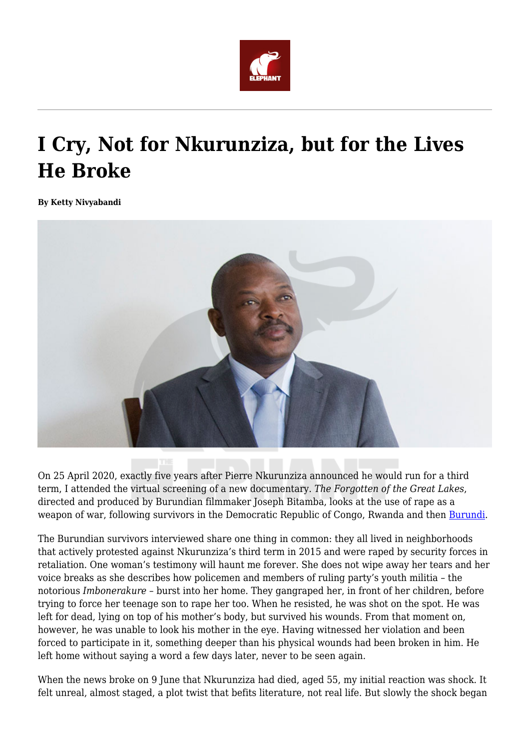

## **I Cry, Not for Nkurunziza, but for the Lives He Broke**

**By Ketty Nivyabandi**



On 25 April 2020, exactly five years after Pierre Nkurunziza announced he would run for a third term, I attended the virtual screening of a new documentary. *The Forgotten of the Great Lakes*, directed and produced by Burundian filmmaker Joseph Bitamba, looks at the use of rape as a weapon of war, following survivors in the Democratic Republic of Congo, Rwanda and then [Burundi](https://africanarguments.org/category/african-arguments/country/east/burundi/).

The Burundian survivors interviewed share one thing in common: they all lived in neighborhoods that actively protested against Nkurunziza's third term in 2015 and were raped by security forces in retaliation. One woman's testimony will haunt me forever. She does not wipe away her tears and her voice breaks as she describes how policemen and members of ruling party's youth militia – the notorious *Imbonerakure* – burst into her home. They gangraped her, in front of her children, before trying to force her teenage son to rape her too. When he resisted, he was shot on the spot. He was left for dead, lying on top of his mother's body, but survived his wounds. From that moment on, however, he was unable to look his mother in the eye. Having witnessed her violation and been forced to participate in it, something deeper than his physical wounds had been broken in him. He left home without saying a word a few days later, never to be seen again.

When the news broke on 9 June that Nkurunziza had died, aged 55, my initial reaction was shock. It felt unreal, almost staged, a plot twist that befits literature, not real life. But slowly the shock began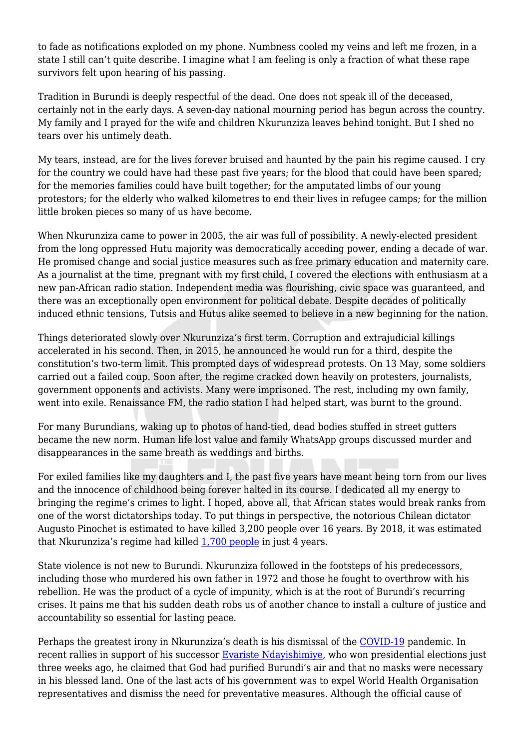to fade as notifications exploded on my phone. Numbness cooled my veins and left me frozen, in a state I still can't quite describe. I imagine what I am feeling is only a fraction of what these rape survivors felt upon hearing of his passing.

Tradition in Burundi is deeply respectful of the dead. One does not speak ill of the deceased, certainly not in the early days. A seven-day national mourning period has begun across the country. My family and I prayed for the wife and children Nkurunziza leaves behind tonight. But I shed no tears over his untimely death.

My tears, instead, are for the lives forever bruised and haunted by the pain his regime caused. I cry for the country we could have had these past five years; for the blood that could have been spared; for the memories families could have built together; for the amputated limbs of our young protestors; for the elderly who walked kilometres to end their lives in refugee camps; for the million little broken pieces so many of us have become.

When Nkurunziza came to power in 2005, the air was full of possibility. A newly-elected president from the long oppressed Hutu majority was democratically acceding power, ending a decade of war. He promised change and social justice measures such as free primary education and maternity care. As a journalist at the time, pregnant with my first child, I covered the elections with enthusiasm at a new pan-African radio station. Independent media was flourishing, civic space was guaranteed, and there was an exceptionally open environment for political debate. Despite decades of politically induced ethnic tensions, Tutsis and Hutus alike seemed to believe in a new beginning for the nation.

Things deteriorated slowly over Nkurunziza's first term. Corruption and extrajudicial killings accelerated in his second. Then, in 2015, he announced he would run for a third, despite the constitution's two-term limit. This prompted days of widespread protests. On 13 May, some soldiers carried out a failed coup. Soon after, the regime cracked down heavily on protesters, journalists, government opponents and activists. Many were imprisoned. The rest, including my own family, went into exile. Renaissance FM, the radio station I had helped start, was burnt to the ground.

For many Burundians, waking up to photos of hand-tied, dead bodies stuffed in street gutters became the new norm. Human life lost value and family WhatsApp groups discussed murder and disappearances in the same breath as weddings and births.

For exiled families like my daughters and I, the past five years have meant being torn from our lives and the innocence of childhood being forever halted in its course. I dedicated all my energy to bringing the regime's crimes to light. I hoped, above all, that African states would break ranks from one of the worst dictatorships today. To put things in perspective, the notorious Chilean dictator Augusto Pinochet is estimated to have killed 3,200 people over 16 years. By 2018, it was estimated that Nkurunziza's regime had killed [1,700 people](https://www.hrw.org/report/2018/05/18/we-will-beat-you-correct-you/abuses-ahead-burundis-constitutional-referendum) in just 4 years.

State violence is not new to Burundi. Nkurunziza followed in the footsteps of his predecessors, including those who murdered his own father in 1972 and those he fought to overthrow with his rebellion. He was the product of a cycle of impunity, which is at the root of Burundi's recurring crises. It pains me that his sudden death robs us of another chance to install a culture of justice and accountability so essential for lasting peace.

Perhaps the greatest irony in Nkurunziza's death is his dismissal of the [COVID-19](https://africanarguments.org/category/covid-19-in-africa/) pandemic. In recent rallies in support of his successor [Evariste Ndayishimiye,](https://africanarguments.org/2020/06/02/burundi-can-newly-elected-president-ndayishimiye-deliver-change/) who won presidential elections just three weeks ago, he claimed that God had purified Burundi's air and that no masks were necessary in his blessed land. One of the last acts of his government was to expel World Health Organisation representatives and dismiss the need for preventative measures. Although the official cause of